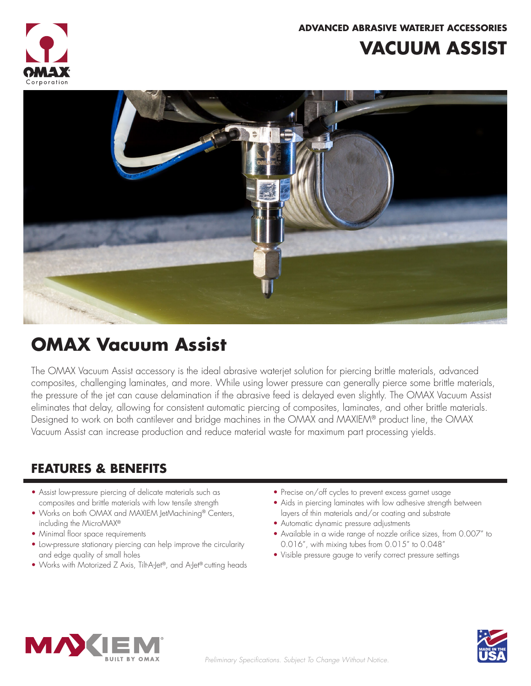

**ADVANCED ABRASIVE WATERJET ACCESSORIES**

## **VACUUM ASSIST**



# **OMAX Vacuum Assist**

The OMAX Vacuum Assist accessory is the ideal abrasive waterjet solution for piercing brittle materials, advanced composites, challenging laminates, and more. While using lower pressure can generally pierce some brittle materials, the pressure of the jet can cause delamination if the abrasive feed is delayed even slightly. The OMAX Vacuum Assist eliminates that delay, allowing for consistent automatic piercing of composites, laminates, and other brittle materials. Designed to work on both cantilever and bridge machines in the OMAX and MAXIEM® product line, the OMAX Vacuum Assist can increase production and reduce material waste for maximum part processing yields.

#### **FEATURES & BENEFITS**

- Assist low-pressure piercing of delicate materials such as composites and brittle materials with low tensile strength
- Works on both OMAX and MAXIEM JetMachining® Centers, including the MicroMAX®
- Minimal floor space requirements
- Low-pressure stationary piercing can help improve the circularity and edge quality of small holes
- Works with Motorized Z Axis, Tilt-A-Jet®, and A-Jet® cutting heads
- Precise on/off cycles to prevent excess garnet usage
- Aids in piercing laminates with low adhesive strength between layers of thin materials and/or coating and substrate
- Automatic dynamic pressure adjustments
- Available in a wide range of nozzle orifice sizes, from 0.007" to 0.016", with mixing tubes from 0.015" to 0.048"
- Visible pressure gauge to verify correct pressure settings